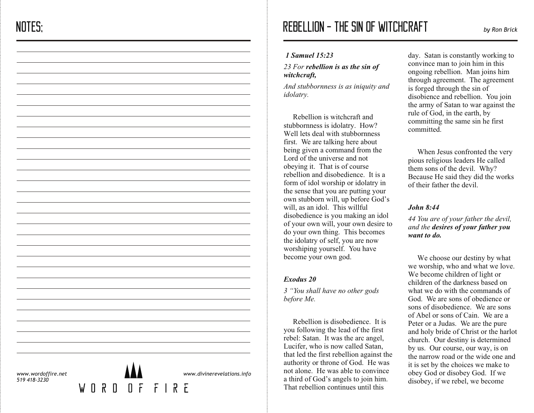# REBELLION - THE SIN OF WITCHCRAFT *by Ron Brick*

## *1 Samuel 15:23*

## *23 For rebellion is as the sin of witchcraft,*

*And stubbornness is as iniquity and idolatry.*

Rebellion is witchcraft and stubbornness is idolatry. How? Well lets deal with stubbornness first. We are talking here about being given a command from the Lord of the universe and not obeying it. That is of course rebellion and disobedience. It is a form of idol worship or idolatry in the sense that you are putting your own stubborn will, up before God's will, as an idol. This willful disobedience is you making an idol of your own will, your own desire to do your own thing. This becomes the idolatry of self, you are now worshiping yourself. You have become your own god.

## *Exodus 20*

*3 "You shall have no other gods before Me.*

Rebellion is disobedience. It is you following the lead of the first rebel: Satan. It was the arc angel, Lucifer, who is now called Satan, that led the first rebellion against the authority or throne of God. He was not alone. He was able to convince a third of God's angels to join him. That rebellion continues until this

day. Satan is constantly working to convince man to join him in this ongoing rebellion. Man joins him through agreement. The agreement is forged through the sin of disobience and rebellion. You join the army of Satan to war against the rule of God, in the earth, by committing the same sin he first committed.

When Jesus confronted the very pious religious leaders He called them sons of the devil. Why? Because He said they did the works of their father the devil.

# *John 8:44*

*44 You are of your father the devil, and the desires of your father you want to do.* 

We choose our destiny by what we worship, who and what we love. We become children of light or children of the darkness based on what we do with the commands of God. We are sons of obedience or sons of disobedience. We are sons of Abel or sons of Cain. We are a Peter or a Judas. We are the pure and holy bride of Christ or the harlot church. Our destiny is determined by us. Our course, our way, is on the narrow road or the wide one and it is set by the choices we make to obey God or disobey God. If we disobey, if we rebel, we become

*www.wordoffire.net 519 418-3230*

*www.divinerevelations.info* W N R N N F F I R F